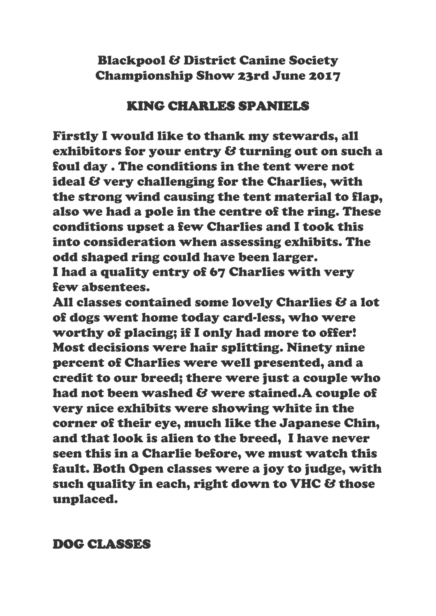Blackpool & District Canine Society Championship Show 23rd June 2017

### KING CHARLES SPANIELS

Firstly I would like to thank my stewards, all exhibitors for your entry & turning out on such a foul day . The conditions in the tent were not ideal & very challenging for the Charlies, with the strong wind causing the tent material to flap, also we had a pole in the centre of the ring. These conditions upset a few Charlies and I took this into consideration when assessing exhibits. The odd shaped ring could have been larger. I had a quality entry of 67 Charlies with very few absentees.

All classes contained some lovely Charlies & a lot of dogs went home today card-less, who were worthy of placing; if I only had more to offer! Most decisions were hair splitting. Ninety nine percent of Charlies were well presented, and a credit to our breed; there were just a couple who had not been washed & were stained.A couple of very nice exhibits were showing white in the corner of their eye, much like the Japanese Chin, and that look is alien to the breed, I have never seen this in a Charlie before, we must watch this fault. Both Open classes were a joy to judge, with such quality in each, right down to VHC & those unplaced.

DOG CLASSES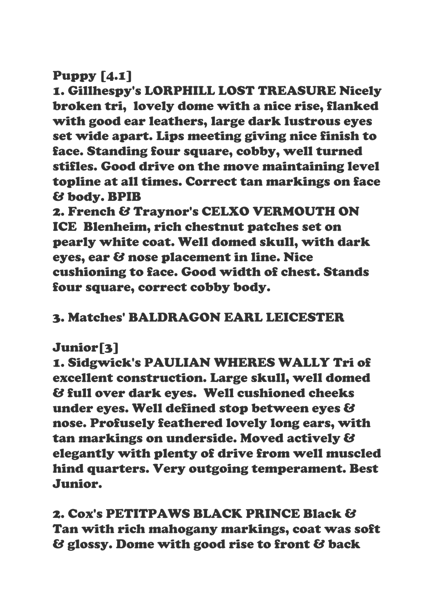### Puppy [4.1]

1. Gillhespy's LORPHILL LOST TREASURE Nicely broken tri, lovely dome with a nice rise, flanked with good ear leathers, large dark lustrous eyes set wide apart. Lips meeting giving nice finish to face. Standing four square, cobby, well turned stifles. Good drive on the move maintaining level topline at all times. Correct tan markings on face & body. BPIB

2. French & Traynor's CELXO VERMOUTH ON ICE Blenheim, rich chestnut patches set on pearly white coat. Well domed skull, with dark eyes, ear & nose placement in line. Nice cushioning to face. Good width of chest. Stands four square, correct cobby body.

# 3. Matches' BALDRAGON EARL LEICESTER

# Junior[3]

1. Sidgwick's PAULIAN WHERES WALLY Tri of excellent construction. Large skull, well domed & full over dark eyes. Well cushioned cheeks under eyes. Well defined stop between eyes & nose. Profusely feathered lovely long ears, with tan markings on underside. Moved actively & elegantly with plenty of drive from well muscled hind quarters. Very outgoing temperament. Best Junior.

# 2. Cox's PETITPAWS BLACK PRINCE Black & Tan with rich mahogany markings, coat was soft & glossy. Dome with good rise to front & back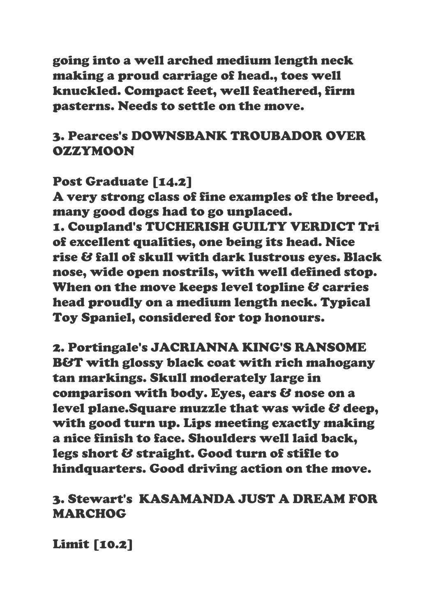going into a well arched medium length neck making a proud carriage of head., toes well knuckled. Compact feet, well feathered, firm pasterns. Needs to settle on the move.

### 3. Pearces's DOWNSBANK TROUBADOR OVER OZZYMOON

### Post Graduate [14.2]

A very strong class of fine examples of the breed, many good dogs had to go unplaced. 1. Coupland's TUCHERISH GUILTY VERDICT Tri of excellent qualities, one being its head. Nice rise & fall of skull with dark lustrous eyes. Black nose, wide open nostrils, with well defined stop. When on the move keeps level topline & carries head proudly on a medium length neck. Typical Toy Spaniel, considered for top honours.

2. Portingale's JACRIANNA KING'S RANSOME B&T with glossy black coat with rich mahogany tan markings. Skull moderately large in comparison with body. Eyes, ears & nose on a level plane.Square muzzle that was wide & deep, with good turn up. Lips meeting exactly making a nice finish to face. Shoulders well laid back, legs short & straight. Good turn of stifle to hindquarters. Good driving action on the move.

# 3. Stewart's KASAMANDA JUST A DREAM FOR MARCHOG

Limit [10.2]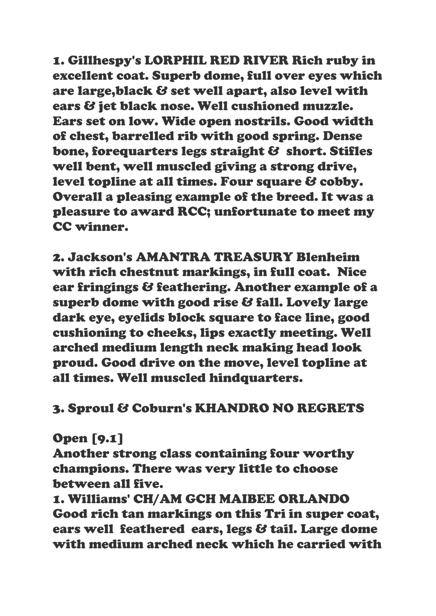1. Gillhespy's LORPHIL RED RIVER Rich ruby in excellent coat. Superb dome, full over eyes which are large,black & set well apart, also level with ears & jet black nose. Well cushioned muzzle. Ears set on low. Wide open nostrils. Good width of chest, barrelled rib with good spring. Dense bone, forequarters legs straight & short. Stifles well bent, well muscled giving a strong drive, level topline at all times. Four square & cobby. Overall a pleasing example of the breed. It was a pleasure to award RCC; unfortunate to meet my CC winner.

2. Jackson's AMANTRA TREASURY Blenheim with rich chestnut markings, in full coat. Nice ear fringings & feathering. Another example of a superb dome with good rise & fall. Lovely large dark eye, eyelids block square to face line, good cushioning to cheeks, lips exactly meeting. Well arched medium length neck making head look proud. Good drive on the move, level topline at all times. Well muscled hindquarters.

# 3. Sproul & Coburn's KHANDRO NO REGRETS

### Open [9.1]

Another strong class containing four worthy champions. There was very little to choose between all five.

1. Williams' CH/AM GCH MAIBEE ORLANDO Good rich tan markings on this Tri in super coat, ears well feathered ears, legs & tail. Large dome with medium arched neck which he carried with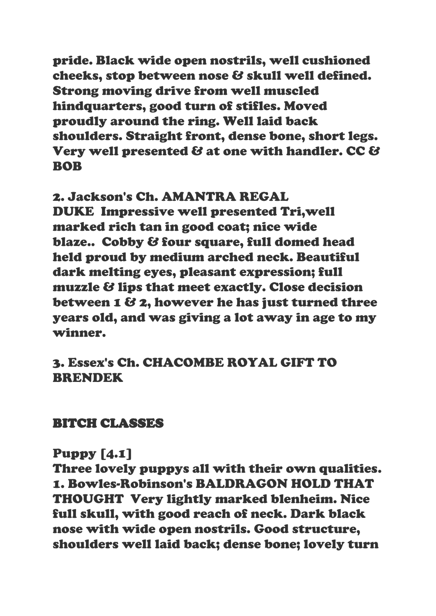pride. Black wide open nostrils, well cushioned cheeks, stop between nose & skull well defined. Strong moving drive from well muscled hindquarters, good turn of stifles. Moved proudly around the ring. Well laid back shoulders. Straight front, dense bone, short legs. Very well presented & at one with handler. CC & **ROB** 

# 2. Jackson's Ch. AMANTRA REGAL

DUKE Impressive well presented Tri,well marked rich tan in good coat; nice wide blaze.. Cobby & four square, full domed head held proud by medium arched neck. Beautiful dark melting eyes, pleasant expression; full muzzle & lips that meet exactly. Close decision between 1 & 2, however he has just turned three years old, and was giving a lot away in age to my winner.

### 3. Essex's Ch. CHACOMBE ROYAL GIFT TO BRENDEK

#### BITCH CLASSES

### Puppy [4.1]

Three lovely puppys all with their own qualities. 1. Bowles-Robinson's BALDRAGON HOLD THAT THOUGHT Very lightly marked blenheim. Nice full skull, with good reach of neck. Dark black nose with wide open nostrils. Good structure, shoulders well laid back; dense bone; lovely turn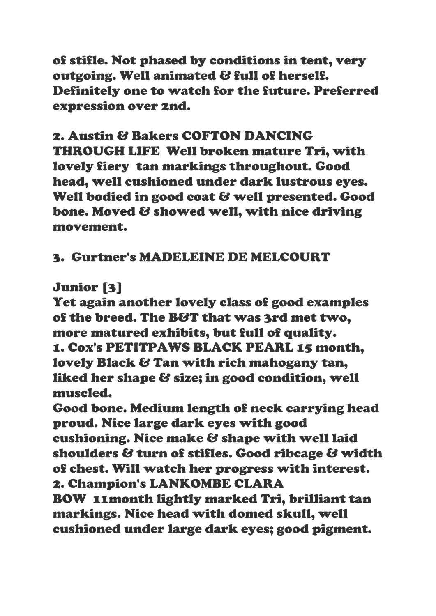of stifle. Not phased by conditions in tent, very outgoing. Well animated & full of herself. Definitely one to watch for the future. Preferred expression over 2nd.

# 2. Austin & Bakers COFTON DANCING THROUGH LIFE Well broken mature Tri, with lovely fiery tan markings throughout. Good head, well cushioned under dark lustrous eyes. Well bodied in good coat & well presented. Good bone. Moved & showed well, with nice driving movement.

# 3. Gurtner's MADELEINE DE MELCOURT

# Junior [3]

Yet again another lovely class of good examples of the breed. The B&T that was 3rd met two, more matured exhibits, but full of quality. 1. Cox's PETITPAWS BLACK PEARL 15 month, lovely Black & Tan with rich mahogany tan, liked her shape & size; in good condition, well muscled.

Good bone. Medium length of neck carrying head proud. Nice large dark eyes with good cushioning. Nice make & shape with well laid shoulders & turn of stifles. Good ribcage & width of chest. Will watch her progress with interest. 2. Champion's LANKOMBE CLARA BOW 11month lightly marked Tri, brilliant tan markings. Nice head with domed skull, well cushioned under large dark eyes; good pigment.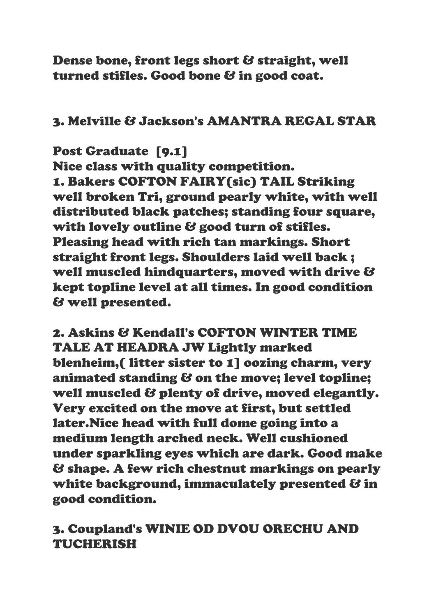Dense bone, front legs short & straight, well turned stifles. Good bone & in good coat.

### 3. Melville & Jackson's AMANTRA REGAL STAR

### Post Graduate [9.1]

Nice class with quality competition. 1. Bakers COFTON FAIRY(sic) TAIL Striking well broken Tri, ground pearly white, with well distributed black patches; standing four square, with lovely outline & good turn of stifles. Pleasing head with rich tan markings. Short straight front legs. Shoulders laid well back ; well muscled hindquarters, moved with drive & kept topline level at all times. In good condition & well presented.

2. Askins & Kendall's COFTON WINTER TIME TALE AT HEADRA JW Lightly marked blenheim,( litter sister to 1] oozing charm, very animated standing & on the move; level topline; well muscled & plenty of drive, moved elegantly. Very excited on the move at first, but settled later.Nice head with full dome going into a medium length arched neck. Well cushioned under sparkling eyes which are dark. Good make & shape. A few rich chestnut markings on pearly white background, immaculately presented  $\mathcal{B}$  in good condition.

# 3. Coupland's WINIE OD DVOU ORECHU AND TUCHERISH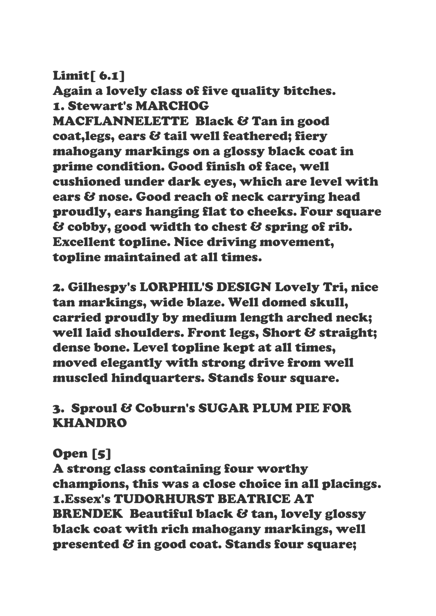### Limit[ 6.1]

Again a lovely class of five quality bitches. 1. Stewart's MARCHOG

MACFLANNELETTE Black & Tan in good coat,legs, ears & tail well feathered; fiery mahogany markings on a glossy black coat in prime condition. Good finish of face, well cushioned under dark eyes, which are level with ears & nose. Good reach of neck carrying head proudly, ears hanging flat to cheeks. Four square & cobby, good width to chest & spring of rib. Excellent topline. Nice driving movement, topline maintained at all times.

2. Gilhespy's LORPHIL'S DESIGN Lovely Tri, nice tan markings, wide blaze. Well domed skull, carried proudly by medium length arched neck; well laid shoulders. Front legs, Short & straight; dense bone. Level topline kept at all times, moved elegantly with strong drive from well muscled hindquarters. Stands four square.

# 3. Sproul & Coburn's SUGAR PLUM PIE FOR KHANDRO

# Open [5]

A strong class containing four worthy champions, this was a close choice in all placings. 1.Essex's TUDORHURST BEATRICE AT BRENDEK Beautiful black & tan, lovely glossy black coat with rich mahogany markings, well presented & in good coat. Stands four square;